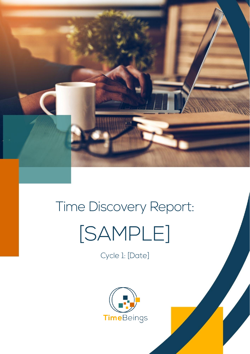

# Time Discovery Report: [SAMPLE]

Cycle 1: [Date]

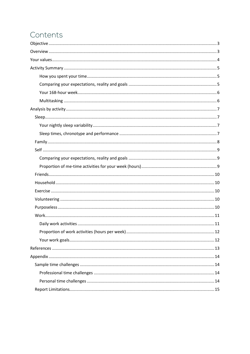## Contents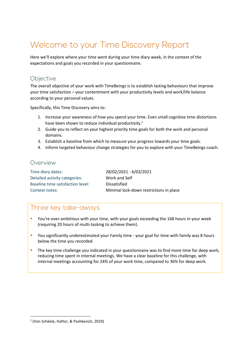## Welcome to your Time Discovery Report

Here we'll explore where your time went during your time diary week, in the context of the expectations and goals you recorded in your questionnaire.

#### <span id="page-2-0"></span>Objective

The overall objective of your work with TimeBeings is to establish lasting behaviours that improve your time satisfaction – your contentment with your productivity levels and work/life balance according to your personal values.

Specifically, this Time Discovery aims to:

- 1. Increase your awareness of how you spend your time. Even small cognitive time distortions have been shown to reduce individual productivity.<sup>1</sup>
- 2. Guide you to reflect on your highest priority time goals for both the work and personal domains.
- 3. Establish a baseline from which to measure your progress towards your time goals.
- 4. Inform targeted behaviour change strategies for you to explore with your TimeBeings coach.

#### <span id="page-2-1"></span>Overview

| Time diary dates:                 | 28/02/2021 - 6/03/2021                  |
|-----------------------------------|-----------------------------------------|
| Detailed activity categories:     | Work and Self                           |
| Baseline time satisfaction level: | Dissatisfied                            |
| Context notes:                    | Minimal lock-down restrictions in place |

#### Three key take-aways

- **•** You're over-ambitious with your time, with your goals exceeding the 168 hours in your week (requiring 20 hours of multi-tasking to achieve them).
- **•** You significantly underestimated your Family time your goal for time with family was 8 hours below the time you recorded.
- The key time challenge you indicated in your questionnaire was to find more time for deep work, reducing time spent in internal meetings. We have a clear baseline for this challenge, with internal meetings accounting for 24% of your work time, compared to 36% for deep work.

<sup>1</sup> (Von Schéele, Haftor, & Pashkevich, 2019)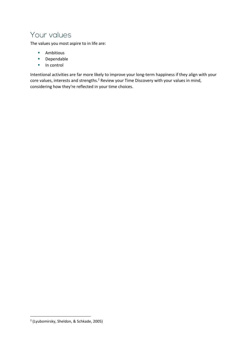## <span id="page-3-0"></span>Your values

The values you most aspire to in life are:

- Ambitious
- Dependable
- In control

Intentional activities are far more likely to improve your long-term happiness if they align with your core values, interests and strengths.<sup>2</sup> Review your Time Discovery with your values in mind, considering how they're reflected in your time choices.

<sup>2</sup> (Lyubomirsky, Sheldon, & Schkade, 2005)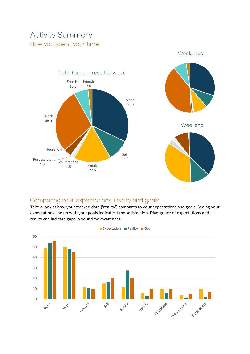## <span id="page-4-1"></span><span id="page-4-0"></span>**Activity Summary** How you spent your time





#### <span id="page-4-2"></span>Comparing your expectations, reality and goals

Take a look at how your tracked data ('reality') compares to your expectations and goals. Seeing your expectations line up with your goals indicates time satisfaction. Divergence of expectations and reality can indicate gaps in your time awareness.

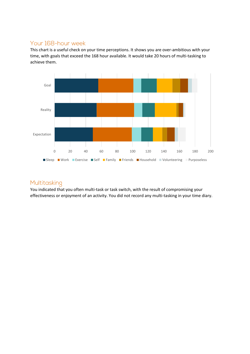#### <span id="page-5-0"></span>Your 168-hour week

This chart is a useful check on your time perceptions. It shows you are over-ambitious with your time, with goals that exceed the 168 hour available. It would take 20 hours of multi-tasking to achieve them.



#### <span id="page-5-1"></span>Multitasking

You indicated that you often multi-task or task switch, with the result of compromising your effectiveness or enjoyment of an activity. You did not record any multi-tasking in your time diary.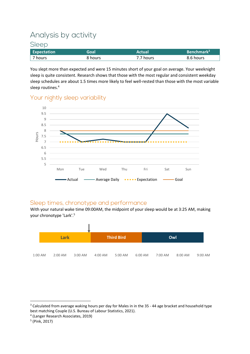## <span id="page-6-0"></span>Analysis by activity

#### <span id="page-6-1"></span>Sleep

| <b>Expectation</b> | Goal    | Actual    | Benchmark <sup>3</sup> |
|--------------------|---------|-----------|------------------------|
| 7 hours            | 8 hours | 7.7 hours | 8.6 hours              |

You slept more than expected and were 15 minutes short of your goal on average. Your weeknight sleep is quite consistent. Research shows that those with the most regular and consistent weekday sleep schedules are about 1.5 times more likely to feel well-rested than those with the most variable sleep routines.<sup>4</sup>

#### <span id="page-6-2"></span>Your nightly sleep variability



#### <span id="page-6-3"></span>Sleep times, chronotype and performance

With your natural wake time 09:00AM, the midpoint of your sleep would be at 3:25 AM, making your chronotype 'Lark'.<sup>5</sup>



<sup>&</sup>lt;sup>3</sup> Calculated from average waking hours per day for Males in in the 35 - 44 age bracket and household type best matching Couple (U.S. Bureau of Labour Statistics, 2021).

<sup>4</sup> (Langer Research Associates, 2019)

<sup>5</sup> (Pink, 2017)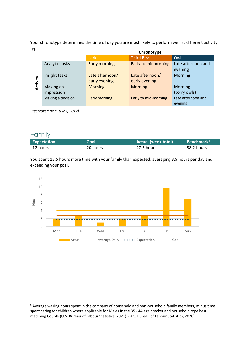Your chronotype determines the time of day you are most likely to perform well at different activity types:

|       |                   |                      | Chronotype           |                    |
|-------|-------------------|----------------------|----------------------|--------------------|
|       |                   | Lark                 | <b>Third Bird</b>    | Owl                |
|       | Analytic tasks    | <b>Early morning</b> | Early to midmorning  | Late afternoon and |
|       |                   |                      |                      | evening            |
|       | Insight tasks     | Late afternoon/      | Late afternoon/      | Morning            |
| ivity |                   | early evening        | early evening        |                    |
| ਦ     | Making an         | <b>Morning</b>       | <b>Morning</b>       | Morning            |
|       | impression        |                      |                      | (sorry owls)       |
|       | Making a decision | <b>Early morning</b> | Early to mid-morning | Late afternoon and |
|       |                   |                      |                      | evening            |

*Recreated from (Pink, 2017)*

#### <span id="page-7-0"></span>Family

| <b>Expectation</b> | Goal     | <b>Actual (week total)</b> | <b>Benchmark</b> <sup>6</sup> |
|--------------------|----------|----------------------------|-------------------------------|
| $\vert$ 12 hours   | 20 hours | 27.5 hours                 | 38.2 hours                    |

You spent 15.5 hours more time with your family than expected, averaging 3.9 hours per day and exceeding your goal.



<sup>6</sup> Average waking hours spent in the company of household and non-household family members, minus time spent caring for children where applicable for Males in the 35 - 44 age bracket and household type best matching Couple (U.S. Bureau of Labour Statistics, 2021), (U.S. Bureau of Labour Statistics, 2020).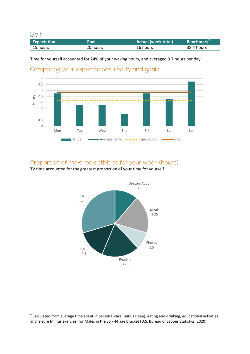<span id="page-8-0"></span>Self

| <b>Expectation</b> | Goal     | <b>Actual (week total)</b> | Benchmark <sup>7</sup> |
|--------------------|----------|----------------------------|------------------------|
| 15 hours           | 20 hours | 16 hours                   | 38.4 hours             |

Time for yourself accounted for 24% of your waking hours, and averaged 3.7 hours per day.

<span id="page-8-1"></span>



#### <span id="page-8-2"></span>Proportion of me-time activities for your week (hours)

TV time accounted for the greatest proportion of your time for yourself.



 $<sup>7</sup>$  Calculated from average time spent in personal care (minus sleep), eating and drinking, educational activities</sup> and leisure (minus exercise) for Males in the 35 - 44 age bracket (U.S. Bureau of Labour Statistics, 2020).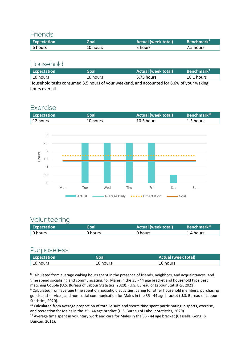#### <span id="page-9-0"></span>**Friends**

| <b>Expectation</b> | Goal     | <b>Actual (week total)</b> | <b>Benchmark</b> <sup>8</sup> |
|--------------------|----------|----------------------------|-------------------------------|
| 6 hours            | 10 hours | 3 hours                    | 7.5 hours                     |

#### <span id="page-9-1"></span>Household

| <b>Expectation</b>                                                                        | Goal     | <b>Actual (week total)</b> | <b>Benchmark</b> <sup>9</sup> |
|-------------------------------------------------------------------------------------------|----------|----------------------------|-------------------------------|
| $\vert$ 10 hours                                                                          | 10 hours | 5.75 hours                 | 18.1 hours                    |
| Household tasks consumed 3.5 hours of your weekend, and accounted for 6.6% of your waking |          |                            |                               |
| hours over all.                                                                           |          |                            |                               |

#### <span id="page-9-2"></span>Exercise





#### <span id="page-9-3"></span>Volunteering

| <b>Expectation</b> | Goal    | <b>Actual (week total)</b> | Benchmark <sup>11</sup> |
|--------------------|---------|----------------------------|-------------------------|
| $\vert$ 0 hours    | 0 hours | 0 hours                    | 1.4 hours               |

#### <span id="page-9-4"></span>Purposeless

| <b>Expectation</b> | Goal     | <b>Actual (week total)</b> |
|--------------------|----------|----------------------------|
| $\vert$ 10 hours   | 10 hours | 10 hours                   |

<sup>8</sup> Calculated from average waking hours spent in the presence of friends, neighbors, and acquaintances, and time spend socialising and communicating, for Males in the 35 - 44 age bracket and household type best matching Couple (U.S. Bureau of Labour Statistics, 2020), (U.S. Bureau of Labour Statistics, 2021).

<sup>9</sup> Calculated from average time spent on household activities, caring for other household members, purchasing goods and services, and non-social communication for Males in the 35 - 44 age bracket (U.S. Bureau of Labour Statistics, 2020).

<sup>10</sup> Calculated from average proportion of total leisure and sports time spent participating in sports, exercise, and recreation for Males in the 35 - 44 age bracket (U.S. Bureau of Labour Statistics, 2020).

<sup>11</sup> Average time spent in voluntary work and care for Males in the 35 - 44 age bracket (Cassells, Gong, & Duncan, 2011).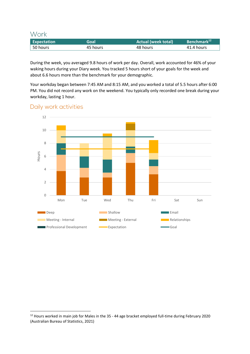<span id="page-10-0"></span>Work

| <b>Expectation</b> | Goal     | Actual (week total) <sup> </sup> | Benchmark <sup>12</sup> |
|--------------------|----------|----------------------------------|-------------------------|
| 50 hours           | 45 hours | 48 hours                         | 41.4 hours              |

During the week, you averaged 9.8 hours of work per day. Overall, work accounted for 46% of your waking hours during your Diary week. You tracked 5 hours short of your goals for the week and about 6.6 hours more than the benchmark for your demographic.

Your workday began between 7:45 AM and 8:15 AM, and you worked a total of 5.5 hours after 6:00 PM. You did not record any work on the weekend. You typically only recorded one break during your workday, lasting 1 hour.

## $\Omega$ 2 4 6 8 10 12 Mon Tue Wed Thu Fri Sat Sun Hours Deep Email Shallow Shallow Email **Meeting - Internal Meeting - Internal Meeting - External Meeting - External Relationships EXPRIMENT Professional Development COAL EXPECTATION** Expectation **COAL** Goal

#### <span id="page-10-1"></span>Daily work activities

<sup>&</sup>lt;sup>12</sup> Hours worked in main job for Males in the 35 - 44 age bracket employed full-time during February 2020 (Australian Bureau of Statistics, 2021)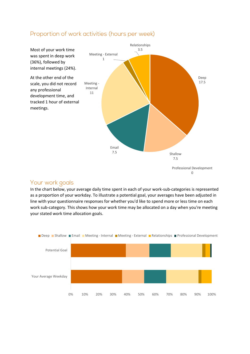

#### <span id="page-11-0"></span>Proportion of work activities (hours per week)

#### <span id="page-11-1"></span>Your work goals

In the chart below, your average daily time spent in each of your work-sub-categories is represented as a proportion of your workday. To illustrate a potential goal, your averages have been adjusted in line with your questionnaire responses for whether you'd like to spend more or less time on each work sub-category. This shows how your work time may be allocated on a day when you're meeting your stated work time allocation goals.

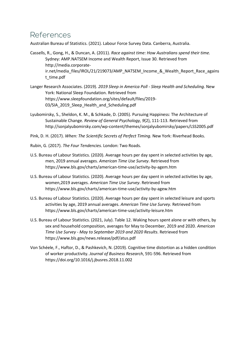### <span id="page-12-0"></span>References

Australian Bureau of Statistics. (2021). Labour Force Survey Data. Canberra, Australia.

- Cassells, R., Gong, H., & Duncan, A. (2011). *Race against time: How Australians spend their time.* Sydney: AMP.NATSEM Income and Wealth Report, Issue 30. Retrieved from http://media.corporateir.net/media\_files/IROL/21/219073/AMP\_NATSEM\_Income\_&\_Wealth\_Report\_Race\_agains t\_time.pdf
- Langer Research Associates. (2019). *2019 Sleep in America Poll - Sleep Health and Scheduling.* New York: National Sleep Foundation. Retrieved from https://www.sleepfoundation.org/sites/default/files/2019- 03/SIA 2019 Sleep Health and Scheduling.pdf
- Lyubomirsky, S., Sheldon, K. M., & Schkade, D. (2005). Pursuing Happiness: The Architecture of Sustainable Change. *Review of General Psychology, 9*(2), 111-113. Retrieved from http://sonjalyubomirsky.com/wp-content/themes/sonjalyubomirsky/papers/LSS2005.pdf

Pink, D. H. (2017). *When: The Scientific Secrets of Perfect Timing.* New York: Riverhead Books.

- Rubin, G. (2017). *The Four Tendencies.* London: Two Roads.
- U.S. Bureau of Labour Statistics. (2020). Average hours per day spent in selected activities by age, men, 2019 annual averages. *American Time Use Survey*. Retrieved from https://www.bls.gov/charts/american-time-use/activity-by-agem.htm
- U.S. Bureau of Labour Statistics. (2020). Average hours per day spent in selected activities by age, women,2019 averages. *American Time Use Survey*. Retrieved from https://www.bls.gov/charts/american-time-use/activity-by-agew.htm
- U.S. Bureau of Labour Statistics. (2020). Average hours per day spent in selected leisure and sports activities by age, 2019 annual averages. *American Time Use Survey*. Retrieved from https://www.bls.gov/charts/american-time-use/activity-leisure.htm
- U.S. Bureau of Labour Statistics. (2021, July). Table 12. Waking hours spent alone or with others, by sex and household composition, averages for May to December, 2019 and 2020. *American Time Use Survey - May to September 2019 and 2020 Results*. Retrieved from https://www.bls.gov/news.release/pdf/atus.pdf
- Von Schéele, F., Haftor, D., & Pashkevich, N. (2019). Cognitive time distortion as a hidden condition of worker productivity. *Journal of Business Research*, 591-596. Retrieved from https://doi.org/10.1016/j.jbusres.2018.11.002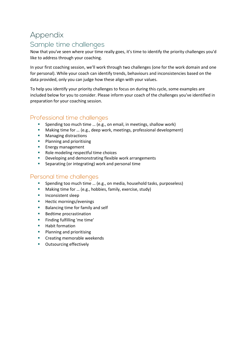## <span id="page-13-0"></span>Appendix Sample time challenges

<span id="page-13-1"></span>Now that you've seen where your time really goes, it's time to identify the priority challenges you'd like to address through your coaching.

In your first coaching session, we'll work through two challenges (one for the work domain and one for personal). While your coach can identify trends, behaviours and inconsistencies based on the data provided, only you can judge how these align with your values.

To help you identify your priority challenges to focus on during this cycle, some examples are included below for you to consider. Please inform your coach of the challenges you've identified in preparation for your coaching session.

#### <span id="page-13-2"></span>Professional time challenges

- Spending too much time ... (e.g., on email, in meetings, shallow work)
- Making time for ... (e.g., deep work, meetings, professional development)
- Managing distractions
- Planning and prioritising
- **Energy management**
- Role modeling respectful time choices
- Developing and demonstrating flexible work arrangements
- **EXECTE:** Separating (or integrating) work and personal time

#### <span id="page-13-3"></span>Personal time challenges

- Spending too much time ... (e.g., on media, household tasks, purposeless)
- Making time for ... (e.g., hobbies, family, exercise, study)
- **·** Inconsistent sleep
- Hectic mornings/evenings
- Balancing time for family and self
- Bedtime procrastination
- Finding fulfilling 'me time'
- Habit formation
- Planning and prioritising
- Creating memorable weekends
- Outsourcing effectively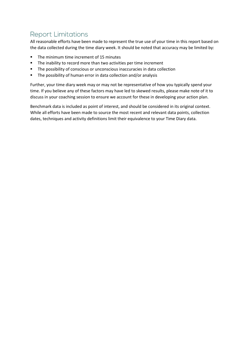## <span id="page-14-0"></span>**Report Limitations**

All reasonable efforts have been made to represent the true use of your time in this report based on the data collected during the time diary week. It should be noted that accuracy may be limited by:

- The minimum time increment of 15 minutes
- The inability to record more than two activities per time increment
- The possibility of conscious or unconscious inaccuracies in data collection
- The possibility of human error in data collection and/or analysis

Further, your time diary week may or may not be representative of how you typically spend your time. If you believe any of these factors may have led to skewed results, please make note of it to discuss in your coaching session to ensure we account for these in developing your action plan.

Benchmark data is included as point of interest, and should be considered in its original context. While all efforts have been made to source the most recent and relevant data points, collection dates, techniques and activity definitions limit their equivalence to your Time Diary data.